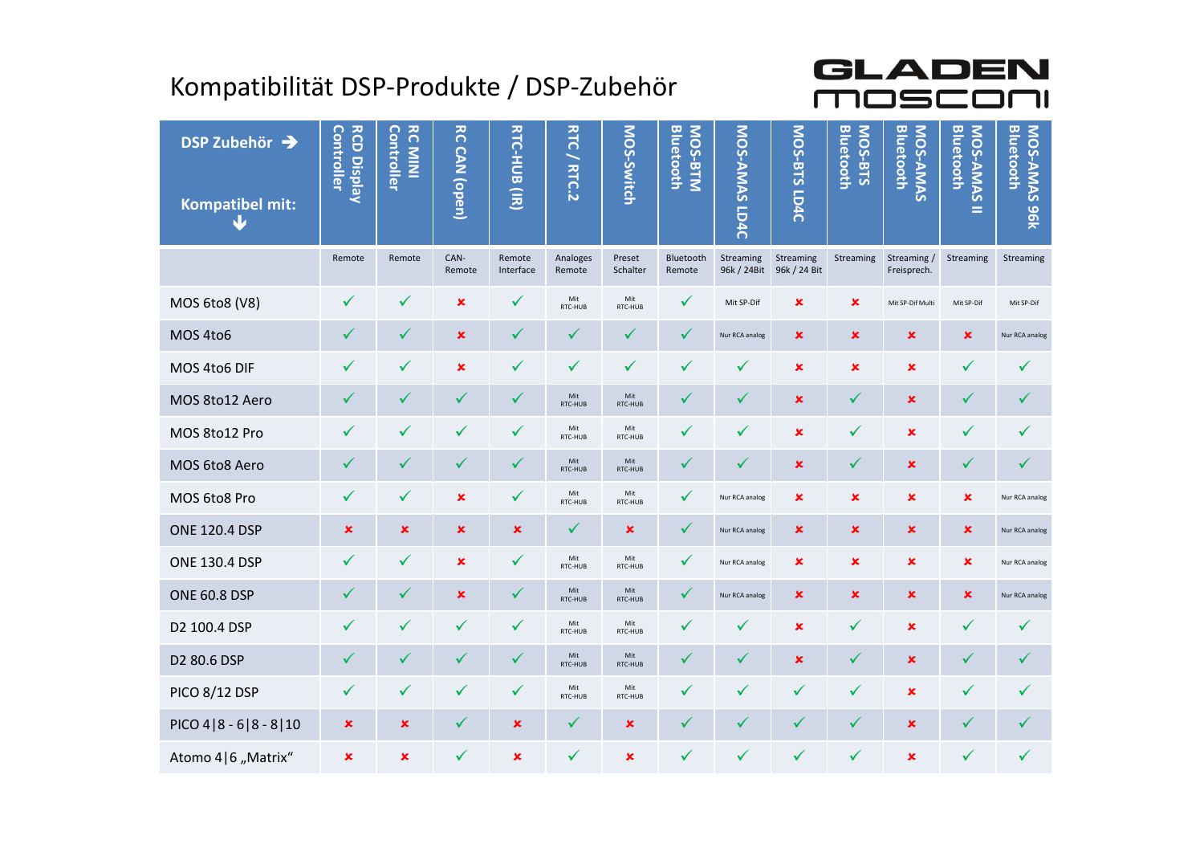## Kompatibilität DSP-Produkte / DSP-Zubehör

| GLADEN<br>Kompatibilität DSP-Produkte / DSP-Zubehör<br>mosci<br>٦<br>$\sim 10$<br>$\overline{c}$<br>DSP Zubehör → |                                  |                              |                |                                     |                    |                     |                      |                          |                           |                           |                                     |                                            |                              |
|-------------------------------------------------------------------------------------------------------------------|----------------------------------|------------------------------|----------------|-------------------------------------|--------------------|---------------------|----------------------|--------------------------|---------------------------|---------------------------|-------------------------------------|--------------------------------------------|------------------------------|
| <b>Kompatibel mit:</b><br>Ψ                                                                                       | <b>RCD Display</b><br>Controller | <b>RC MINI</b><br>Controller | CAN (open)     | RTC-HUB<br>$\widehat{\overline{z}}$ | <b>RTC/RTC.2</b>   | MOS-Switch          | MOS-BTM<br>Bluetooth | MOS-AMAS<br><b>LD4C</b>  | MOS-BTS<br><b>LD4C</b>    | MOS-BTS<br>Bluetooth      | <b>Bluetooth</b><br><b>NOS-AMAS</b> | <b>Bluetooth</b><br><b>NOS-AMAS</b><br>$=$ | MOS-AMAS<br>Bluetooth<br>196 |
|                                                                                                                   | Remote                           | Remote                       | CAN-<br>Remote | Remote<br>Interface                 | Analoges<br>Remote | Preset<br>Schalter  | Bluetooth<br>Remote  | Streaming<br>96k / 24Bit | Streaming<br>96k / 24 Bit | Streaming                 | Streaming /<br>Freisprech.          | Streaming                                  | Streaming                    |
| MOS 6to8 (V8)                                                                                                     | ✓                                |                              | ×              |                                     | Mit<br>RTC-HUB     | Mit<br>RTC-HUB      |                      | Mit SP-Dif               | ×                         | ×                         | Mit SP-Dif Multi                    | Mit SP-Dif                                 | Mit SP-Dif                   |
| MOS 4to6                                                                                                          | ✔                                |                              | $\pmb{\times}$ |                                     |                    |                     |                      | Nur RCA analog           | ×                         | ×                         | ×                                   | $\pmb{\times}$                             | Nur RCA analog               |
| MOS 4to6 DIF                                                                                                      | $\checkmark$                     |                              | ×              |                                     | ✓                  | $\checkmark$        |                      |                          | ×                         | $\boldsymbol{\mathsf{x}}$ | $\pmb{\times}$                      | ✓                                          |                              |
| MOS 8to12 Aero                                                                                                    | V                                |                              |                |                                     | Mit<br>RTC-HUB     | Mit<br>RTC-HUB      |                      |                          | ×                         |                           | $\pmb{\times}$                      |                                            |                              |
| MOS 8to12 Pro                                                                                                     | ✓                                |                              |                | ✓                                   | Mit<br>RTC-HUB     | Mit<br>RTC-HUB      |                      |                          | ×                         |                           | $\pmb{\times}$                      |                                            |                              |
| MOS 6to8 Aero                                                                                                     |                                  |                              |                | ✓                                   | Mit<br>RTC-HUB     | Mit<br>RTC-HUB      |                      |                          | $\pmb{\times}$            | $\checkmark$              | $\pmb{\times}$                      | ✓                                          | $\sqrt{}$                    |
| MOS 6to8 Pro                                                                                                      | $\checkmark$                     | $\checkmark$                 | $\pmb{\times}$ | $\checkmark$                        | Mit<br>RTC-HUB     | Mit<br>RTC-HUB      | ✓                    | Nur RCA analog           | $\boldsymbol{\mathsf{x}}$ | $\pmb{\times}$            | $\pmb{\times}$                      | $\pmb{\times}$                             | Nur RCA analog               |
| <b>ONE 120.4 DSP</b>                                                                                              | $\pmb{\times}$                   | $\boldsymbol{\mathsf{x}}$    | $\pmb{\times}$ | $\pmb{\times}$                      | $\checkmark$       | $\pmb{\times}$      | $\checkmark$         | Nur RCA analog           | $\pmb{\times}$            | $\pmb{\times}$            | $\pmb{\times}$                      | $\boldsymbol{\mathsf{x}}$                  | Nur RCA analog               |
| <b>ONE 130.4 DSP</b>                                                                                              | $\checkmark$                     | ✓                            | $\pmb{\times}$ | $\checkmark$                        | Mit<br>RTC-HUB     | Mit<br>RTC-HUB      | ✓                    | Nur RCA analog           | $\pmb{\times}$            | $\pmb{\times}$            | $\pmb{\times}$                      | $\pmb{\times}$                             | Nur RCA analog               |
| <b>ONE 60.8 DSP</b>                                                                                               | $\checkmark$                     | $\checkmark$                 | $\pmb{\times}$ | $\checkmark$                        | Mit<br>RTC-HUB     | Mit<br>RTC-HUB      | $\checkmark$         | Nur RCA analog           | $\pmb{\times}$            | $\boldsymbol{\mathsf{x}}$ | $\pmb{\times}$                      | $\boldsymbol{\mathsf{x}}$                  | Nur RCA analog               |
| D2 100.4 DSP                                                                                                      | $\checkmark$                     | $\checkmark$                 | $\checkmark$   | $\checkmark$                        | Mit<br>RTC-HUB     | Mit<br>RTC-HUB      | $\checkmark$         | $\checkmark$             | $\pmb{\times}$            | $\checkmark$              | $\pmb{\times}$                      | $\checkmark$                               | $\checkmark$                 |
| D2 80.6 DSP                                                                                                       | $\checkmark$                     | $\checkmark$                 | ✓              | $\checkmark$                        | Mit<br>RTC-HUB     | Mit<br>RTC-HUB      | $\checkmark$         | $\checkmark$             | $\pmb{\times}$            | $\checkmark$              | $\pmb{\times}$                      | $\checkmark$                               | $\checkmark$                 |
| <b>PICO 8/12 DSP</b>                                                                                              | $\checkmark$                     | $\checkmark$                 | ✓              | $\checkmark$                        | Mit<br>RTC-HUB     | $$\tt Mit$$ RTC-HUB | $\checkmark$         | $\checkmark$             | $\checkmark$              | $\checkmark$              | $\pmb{\times}$                      | $\checkmark$                               | $\checkmark$                 |
| $PICO 4   8 - 6   8 - 8   10$                                                                                     | $\pmb{\mathsf{x}}$               | $\pmb{\times}$               | V              | $\pmb{\times}$                      | $\checkmark$       | $\pmb{\times}$      | ✔                    | ✔                        | ✓                         | $\checkmark$              | $\pmb{\times}$                      | ✓                                          | $\checkmark$                 |
| Atomo 4   6 "Matrix"                                                                                              | $\pmb{\times}$                   | $\boldsymbol{\mathsf{x}}$    | ✓              | $\pmb{\times}$                      | $\checkmark$       | $\pmb{\times}$      | ✓                    | ✓                        | $\checkmark$              | ✓                         | $\pmb{\times}$                      | ✓                                          | $\checkmark$                 |